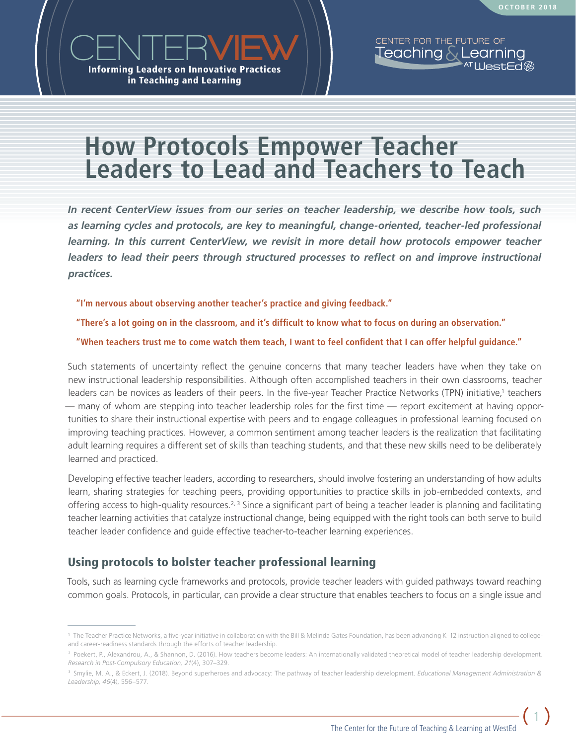

# **How Protocols Empower Teacher Leaders to Lead and Teachers to Teach**

*In recent CenterView issues from our series on teacher leadership, we describe how tools, such as learning cycles and protocols, are key to meaningful, change-oriented, teacher-led professional learning. In this current CenterView, we revisit in more detail how protocols empower teacher leaders to lead their peers through structured processes to reflect on and improve instructional practices.*

**"I'm nervous about observing another teacher's practice and giving feedback."** 

**"There's a lot going on in the classroom, and it's difficult to know what to focus on during an observation."** 

**"When teachers trust me to come watch them teach, I want to feel confident that I can offer helpful guidance."** 

Such statements of uncertainty reflect the genuine concerns that many teacher leaders have when they take on new instructional leadership responsibilities. Although often accomplished teachers in their own classrooms, teacher leaders can be novices as leaders of their peers. In the five-year Teacher Practice Networks (TPN) initiative,<sup>1</sup> teachers — many of whom are stepping into teacher leadership roles for the first time — report excitement at having opportunities to share their instructional expertise with peers and to engage colleagues in professional learning focused on improving teaching practices. However, a common sentiment among teacher leaders is the realization that facilitating adult learning requires a different set of skills than teaching students, and that these new skills need to be deliberately learned and practiced.

Developing effective teacher leaders, according to researchers, should involve fostering an understanding of how adults learn, sharing strategies for teaching peers, providing opportunities to practice skills in job-embedded contexts, and offering access to high-quality resources.<sup>2, 3</sup> Since a significant part of being a teacher leader is planning and facilitating teacher learning activities that catalyze instructional change, being equipped with the right tools can both serve to build teacher leader confidence and guide effective teacher-to-teacher learning experiences.

### Using protocols to bolster teacher professional learning

Tools, such as learning cycle frameworks and protocols, provide teacher leaders with guided pathways toward reaching common goals. Protocols, in particular, can provide a clear structure that enables teachers to focus on a single issue and

1

<sup>1</sup> The Teacher Practice Networks, a five-year initiative in collaboration with the Bill & Melinda Gates Foundation, has been advancing K–12 instruction aligned to collegeand career-readiness standards through the efforts of teacher leadership.

<sup>&</sup>lt;sup>2</sup> Poekert, P., Alexandrou, A., & Shannon, D. (2016). How teachers become leaders: An internationally validated theoretical model of teacher leadership development. *Research in Post-Compulsory Education, 21*(4), 307–329.

<sup>3</sup> Smylie, M. A., & Eckert, J. (2018). Beyond superheroes and advocacy: The pathway of teacher leadership development. *Educational Management Administration & Leadership, 46*(4), 556–577.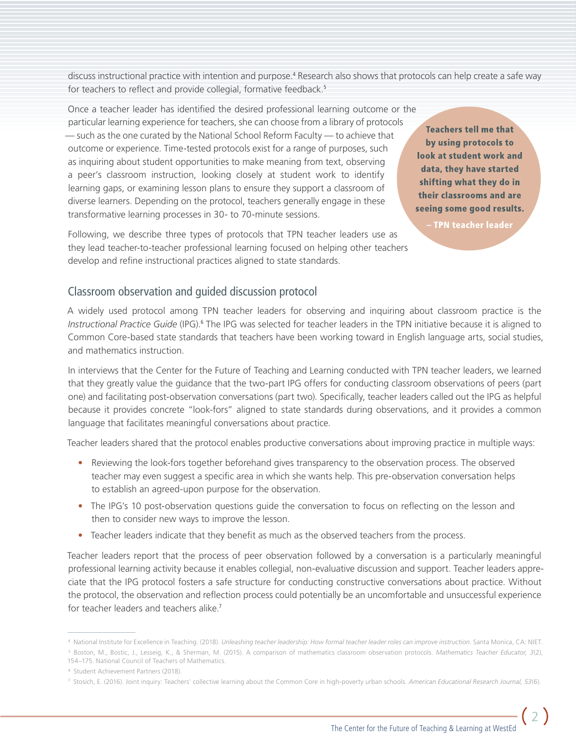discuss instructional practice with intention and purpose.<sup>4</sup> Research also shows that protocols can help create a safe way for teachers to reflect and provide collegial, formative feedback.<sup>5</sup>

Once a teacher leader has identified the desired professional learning outcome or the particular learning experience for teachers, she can choose from a library of protocols — such as the one curated by the National School Reform Faculty — to achieve that outcome or experience. Time-tested protocols exist for a range of purposes, such as inquiring about student opportunities to make meaning from text, observing a peer's classroom instruction, looking closely at student work to identify learning gaps, or examining lesson plans to ensure they support a classroom of diverse learners. Depending on the protocol, teachers generally engage in these transformative learning processes in 30- to 70-minute sessions.

Following, we describe three types of protocols that TPN teacher leaders use as they lead teacher-to-teacher professional learning focused on helping other teachers develop and refine instructional practices aligned to state standards.

**Teachers tell me that** by using protocols to look at student work and data, they have started shifting what they do in their classrooms and are seeing some good results.

– TPN teacher leader

#### Classroom observation and guided discussion protocol

A widely used protocol among TPN teacher leaders for observing and inquiring about classroom practice is the Instructional Practice Guide (IPG).<sup>6</sup> The IPG was selected for teacher leaders in the TPN initiative because it is aligned to Common Core-based state standards that teachers have been working toward in English language arts, social studies, and mathematics instruction.

In interviews that the Center for the Future of Teaching and Learning conducted with TPN teacher leaders, we learned that they greatly value the guidance that the two-part IPG offers for conducting classroom observations of peers (part one) and facilitating post-observation conversations (part two). Specifically, teacher leaders called out the IPG as helpful because it provides concrete "look-fors" aligned to state standards during observations, and it provides a common language that facilitates meaningful conversations about practice.

Teacher leaders shared that the protocol enables productive conversations about improving practice in multiple ways:

- **•** Reviewing the look-fors together beforehand gives transparency to the observation process. The observed teacher may even suggest a specific area in which she wants help. This pre-observation conversation helps to establish an agreed-upon purpose for the observation.
- **•** The IPG's 10 post-observation questions guide the conversation to focus on reflecting on the lesson and then to consider new ways to improve the lesson.
- **•** Teacher leaders indicate that they benefit as much as the observed teachers from the process.

Teacher leaders report that the process of peer observation followed by a conversation is a particularly meaningful professional learning activity because it enables collegial, non-evaluative discussion and support. Teacher leaders appreciate that the IPG protocol fosters a safe structure for conducting constructive conversations about practice. Without the protocol, the observation and reflection process could potentially be an uncomfortable and unsuccessful experience for teacher leaders and teachers alike.<sup>7</sup>

<sup>4</sup> National Institute for Excellence in Teaching. (2018). *Unleashing teacher leadership: How formal teacher leader roles can improve instruction.* Santa Monica, CA: NIET. <sup>5</sup> Boston, M., Bostic, J., Lesseig, K., & Sherman, M. (2015). A comparison of mathematics classroom observation protocols. *Mathematics Teacher Educator, 3*(2), 154–175. National Council of Teachers of Mathematics.

<sup>6</sup> Student Achievement Partners (2018).

<sup>7</sup> Stosich, E. (2016). Joint inquiry: Teachers' collective learning about the Common Core in high-poverty urban schools. *American Educational Research Journal, 53*(6).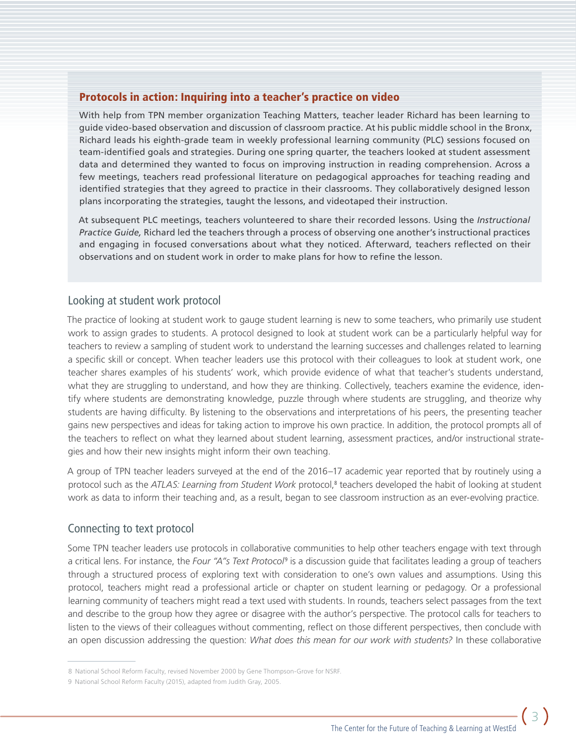#### Protocols in action: Inquiring into a teacher's practice on video

With help from TPN member organization Teaching Matters, teacher leader Richard has been learning to guide video-based observation and discussion of classroom practice. At his public middle school in the Bronx, Richard leads his eighth-grade team in weekly professional learning community (PLC) sessions focused on team-identified goals and strategies. During one spring quarter, the teachers looked at student assessment data and determined they wanted to focus on improving instruction in reading comprehension. Across a few meetings, teachers read professional literature on pedagogical approaches for teaching reading and identified strategies that they agreed to practice in their classrooms. They collaboratively designed lesson plans incorporating the strategies, taught the lessons, and videotaped their instruction.

At subsequent PLC meetings, teachers volunteered to share their recorded lessons. Using the *Instructional Practice Guide,* Richard led the teachers through a process of observing one another's instructional practices and engaging in focused conversations about what they noticed. Afterward, teachers reflected on their observations and on student work in order to make plans for how to refine the lesson.

#### Looking at student work protocol

The practice of looking at student work to gauge student learning is new to some teachers, who primarily use student work to assign grades to students. A protocol designed to look at student work can be a particularly helpful way for teachers to review a sampling of student work to understand the learning successes and challenges related to learning a specific skill or concept. When teacher leaders use this protocol with their colleagues to look at student work, one teacher shares examples of his students' work, which provide evidence of what that teacher's students understand, what they are struggling to understand, and how they are thinking. Collectively, teachers examine the evidence, identify where students are demonstrating knowledge, puzzle through where students are struggling, and theorize why students are having difficulty. By listening to the observations and interpretations of his peers, the presenting teacher gains new perspectives and ideas for taking action to improve his own practice. In addition, the protocol prompts all of the teachers to reflect on what they learned about student learning, assessment practices, and/or instructional strategies and how their new insights might inform their own teaching.

A group of TPN teacher leaders surveyed at the end of the 2016–17 academic year reported that by routinely using a protocol such as the *ATLAS: Learning from Student Work* protocol,<sup>8</sup> teachers developed the habit of looking at student work as data to inform their teaching and, as a result, began to see classroom instruction as an ever-evolving practice.

#### Connecting to text protocol

Some TPN teacher leaders use protocols in collaborative communities to help other teachers engage with text through a critical lens. For instance, the *Four "A"s Text Protocol*<sup>9</sup> is a discussion guide that facilitates leading a group of teachers through a structured process of exploring text with consideration to one's own values and assumptions. Using this protocol, teachers might read a professional article or chapter on student learning or pedagogy. Or a professional learning community of teachers might read a text used with students. In rounds, teachers select passages from the text and describe to the group how they agree or disagree with the author's perspective. The protocol calls for teachers to listen to the views of their colleagues without commenting, reflect on those different perspectives, then conclude with an open discussion addressing the question: *What does this mean for our work with students?* In these collaborative

<sup>8</sup> National School Reform Faculty, revised November 2000 by Gene Thompson-Grove for NSRF.

<sup>9</sup> National School Reform Faculty (2015), adapted from Judith Gray, 2005.